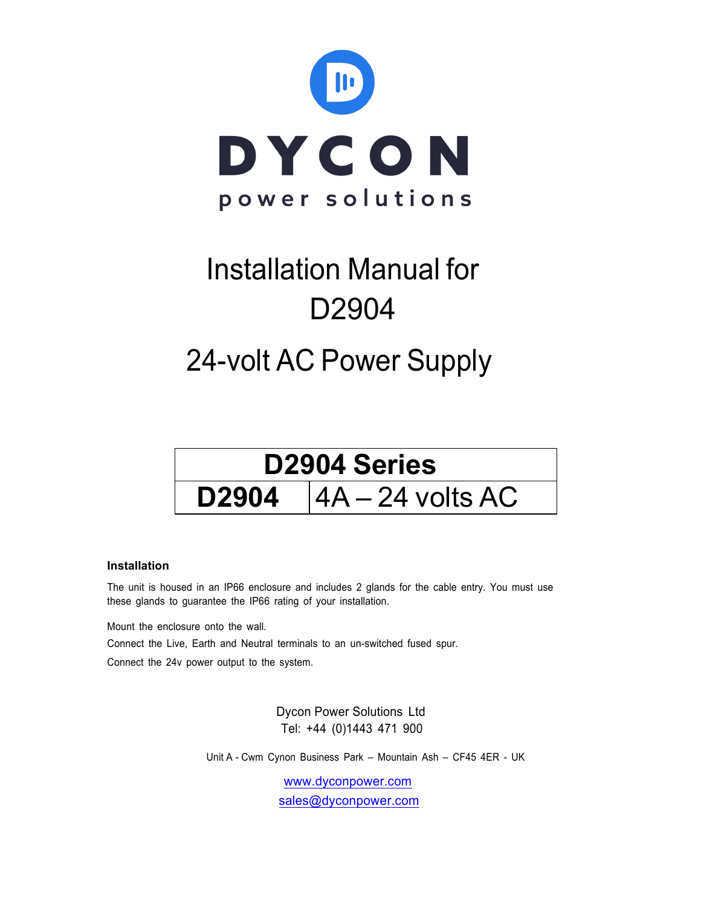

# Installation Manual for D2904

## 24-volt AC Power Supply



#### **Installation**

The unit is housed in an IP66 enclosure and includes 2 glands for the cable entry. You must use these glands to guarantee the IP66 rating of your installation.

Mount the enclosure onto the wall.

Connect the Live, Earth and Neutral terminals to an un-switched fused spur.

Connect the 24v power output to the system.

 Dycon Power Solutions Ltd Tel: +44 (0)1443 471 900

Unit A - Cwm Cynon Business Park – Mountain Ash – CF45 4ER - UK

www.dyconpower.com sales@dyconpower.com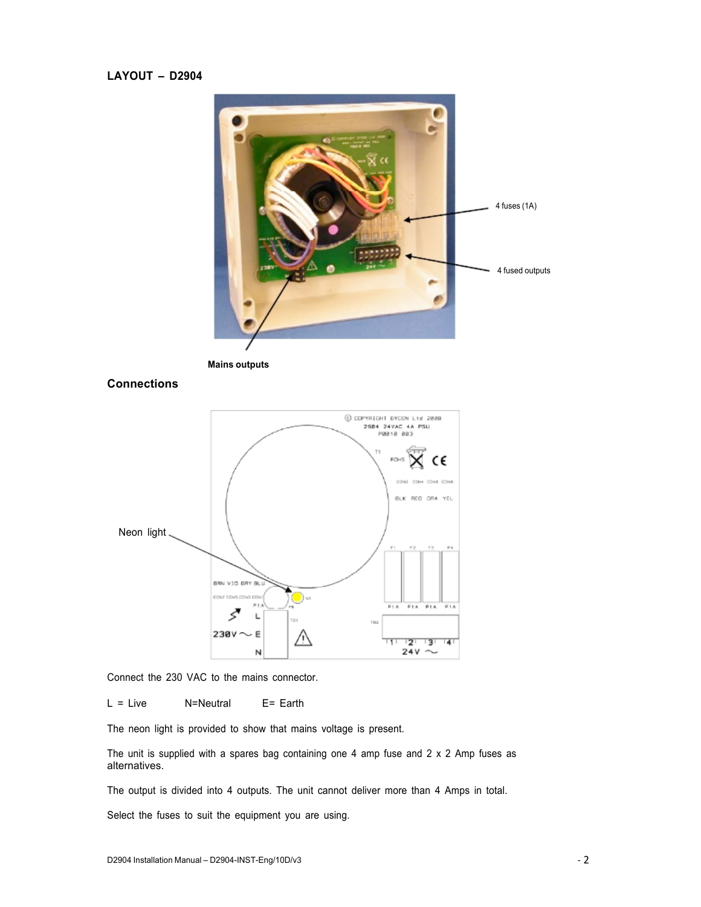### **LAYOUT – D2904**







Connect the 230 VAC to the mains connector.

L = Live N=Neutral E= Earth

The neon light is provided to show that mains voltage is present.

The unit is supplied with a spares bag containing one 4 amp fuse and 2 x 2 Amp fuses as alternatives.

The output is divided into 4 outputs. The unit cannot deliver more than 4 Amps in total.

Select the fuses to suit the equipment you are using.